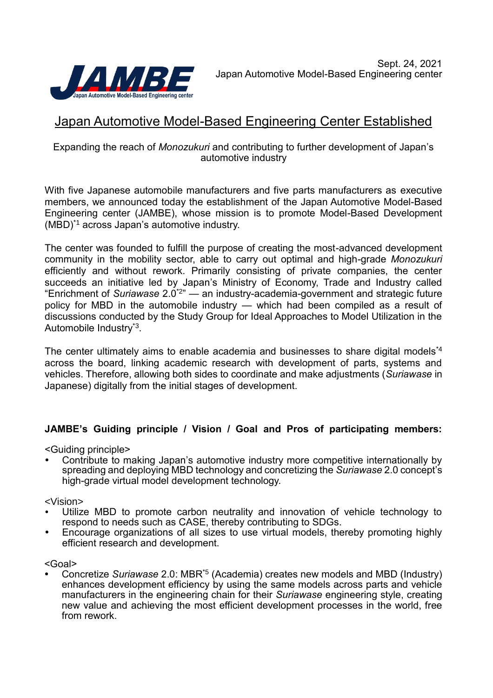

# Japan Automotive Model-Based Engineering Center Established

## Expanding the reach of *Monozukuri* and contributing to further development of Japan's automotive industry

With five Japanese automobile manufacturers and five parts manufacturers as executive members, we announced today the establishment of the Japan Automotive Model-Based Engineering center (JAMBE), whose mission is to promote Model-Based Development (MBD)\*1 across Japan's automotive industry.

The center was founded to fulfill the purpose of creating the most-advanced development community in the mobility sector, able to carry out optimal and high-grade *Monozukuri* efficiently and without rework. Primarily consisting of private companies, the center succeeds an initiative led by Japan's Ministry of Economy, Trade and Industry called "Enrichment of *Suriawase* 2.0\*2 " — an industry-academia-government and strategic future policy for MBD in the automobile industry — which had been compiled as a result of discussions conducted by the Study Group for Ideal Approaches to Model Utilization in the Automobile Industry<sup>\*3</sup>.

The center ultimately aims to enable academia and businesses to share digital models<sup>\*4</sup> across the board, linking academic research with development of parts, systems and vehicles. Therefore, allowing both sides to coordinate and make adjustments (*Suriawase* in Japanese) digitally from the initial stages of development.

# **JAMBE's Guiding principle / Vision / Goal and Pros of participating members:**

<Guiding principle>

 Contribute to making Japan's automotive industry more competitive internationally by spreading and deploying MBD technology and concretizing the *Suriawase* 2.0 concept's high-grade virtual model development technology.

<Vision>

- Utilize MBD to promote carbon neutrality and innovation of vehicle technology to respond to needs such as CASE, thereby contributing to SDGs.
- Encourage organizations of all sizes to use virtual models, thereby promoting highly efficient research and development.

<Goal>

• Concretize Suriawase 2.0: MBR<sup>\*5</sup> (Academia) creates new models and MBD (Industry) enhances development efficiency by using the same models across parts and vehicle manufacturers in the engineering chain for their *Suriawase* engineering style, creating new value and achieving the most efficient development processes in the world, free from rework.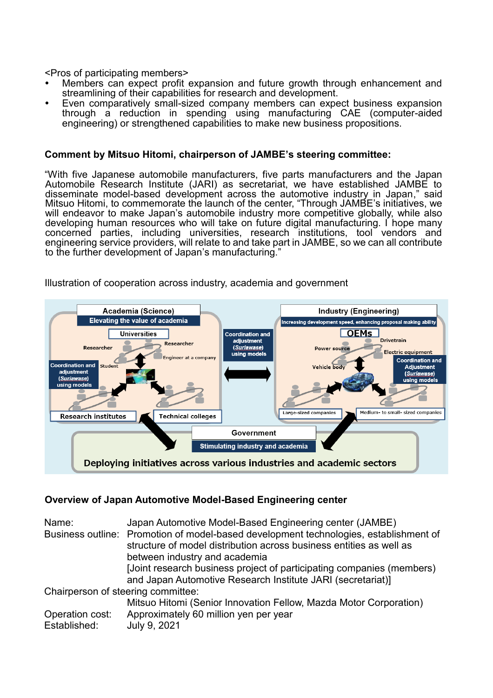<Pros of participating members>

- Members can expect profit expansion and future growth through enhancement and streamlining of their capabilities for research and development.
- Even comparatively small-sized company members can expect business expansion through a reduction in spending using manufacturing CAE (computer-aided engineering) or strengthened capabilities to make new business propositions.

### **Comment by Mitsuo Hitomi, chairperson of JAMBE's steering committee:**

"With five Japanese automobile manufacturers, five parts manufacturers and the Japan Automobile Research Institute (JARI) as secretariat, we have established JAMBE to disseminate model-based development across the automotive industry in Japan," said Mitsuo Hitomi, to commemorate the launch of the center, "Through JAMBE's initiatives, we will endeavor to make Japan's automobile industry more competitive globally, while also developing human resources who will take on future digital manufacturing. I hope many concerned parties, including universities, research institutions, tool vendors and engineering service providers, will relate to and take part in JAMBE, so we can all contribute to the further development of Japan's manufacturing."



Illustration of cooperation across industry, academia and government

## **Overview of Japan Automotive Model-Based Engineering center**

| Name:                              | Japan Automotive Model-Based Engineering center (JAMBE)<br>Business outline: Promotion of model-based development technologies, establishment of<br>structure of model distribution across business entities as well as |
|------------------------------------|-------------------------------------------------------------------------------------------------------------------------------------------------------------------------------------------------------------------------|
|                                    | between industry and academia                                                                                                                                                                                           |
|                                    | [Joint research business project of participating companies (members)<br>and Japan Automotive Research Institute JARI (secretariat)]                                                                                    |
| Chairperson of steering committee: |                                                                                                                                                                                                                         |
|                                    | Mitsuo Hitomi (Senior Innovation Fellow, Mazda Motor Corporation)                                                                                                                                                       |
| Operation cost:                    | Approximately 60 million yen per year                                                                                                                                                                                   |
| Established:                       | July 9, 2021                                                                                                                                                                                                            |